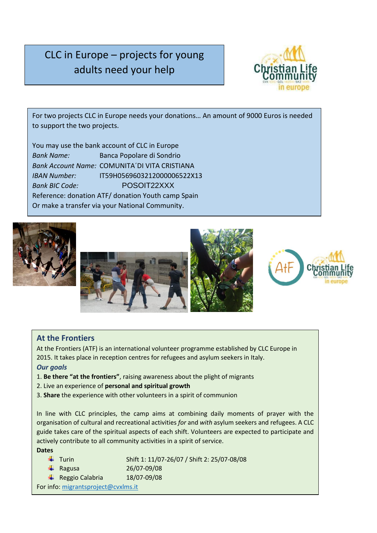# CLC in Europe – projects for young adults need your help



For two projects CLC in Europe needs your donations… An amount of 9000 Euros is needed to support the two projects.

You may use the bank account of CLC in Europe *Bank Name:* Banca Popolare di Sondrio *Bank Account Name:* COMUNITA´DI VITA CRISTIANA *IBAN Number:* IT59H0569603212000006522X13 *Bank BIC Code:* POSOIT22XXX Reference: donation ATF/ donation Youth camp Spain Or make a transfer via your National Community.







## **At the Frontiers**

At the Frontiers (ATF) is an international volunteer programme established by CLC Europe in 2015. It takes place in reception centres for refugees and asylum seekers in Italy. *Our goals*

- 1. **Be there "at the frontiers"**, raising awareness about the plight of migrants
- 2. Live an experience of **personal and spiritual growth**
- 3. **Share** the experience with other volunteers in a spirit of communion

In line with CLC principles, the camp aims at combining daily moments of prayer with the organisation of cultural and recreational activities *for* and *with* asylum seekers and refugees. A CLC guide takes care of the spiritual aspects of each shift. Volunteers are expected to participate and actively contribute to all community activities in a spirit of service.

#### **Dates**

|                                     | $\leftarrow$ Turin           | Shift 1: 11/07-26/07 / Shift 2: 25/07-08/08 |
|-------------------------------------|------------------------------|---------------------------------------------|
|                                     | $\leftarrow$ Ragusa          | 26/07-09/08                                 |
|                                     | $\leftarrow$ Reggio Calabria | 18/07-09/08                                 |
| For info: migrantsproject@cvxlms.it |                              |                                             |